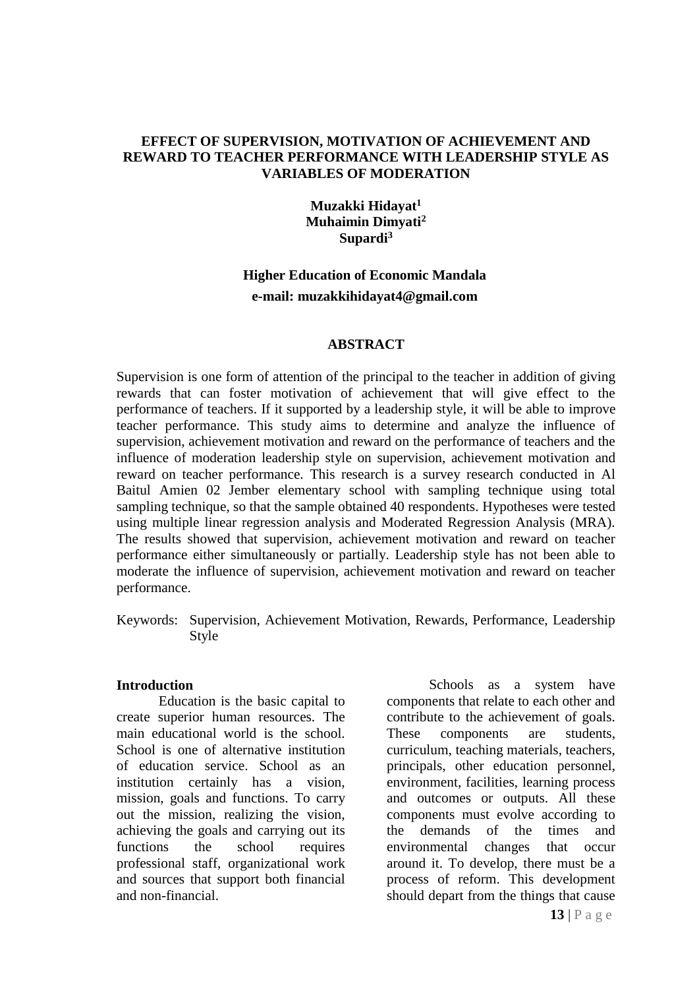#### **EFFECT OF SUPERVISION, MOTIVATION OF ACHIEVEMENT AND REWARD TO TEACHER PERFORMANCE WITH LEADERSHIP STYLE AS VARIABLES OF MODERATION**

# **Muzakki Hidayat<sup>1</sup> Muhaimin Dimyati<sup>2</sup> Supardi<sup>3</sup>**

# **Higher Education of Economic Mandala e-mail: muzakkihidayat4@gmail.com**

### **ABSTRACT**

Supervision is one form of attention of the principal to the teacher in addition of giving rewards that can foster motivation of achievement that will give effect to the performance of teachers. If it supported by a leadership style, it will be able to improve teacher performance. This study aims to determine and analyze the influence of supervision, achievement motivation and reward on the performance of teachers and the influence of moderation leadership style on supervision, achievement motivation and reward on teacher performance. This research is a survey research conducted in Al Baitul Amien 02 Jember elementary school with sampling technique using total sampling technique, so that the sample obtained 40 respondents. Hypotheses were tested using multiple linear regression analysis and Moderated Regression Analysis (MRA). The results showed that supervision, achievement motivation and reward on teacher performance either simultaneously or partially. Leadership style has not been able to moderate the influence of supervision, achievement motivation and reward on teacher performance.

Keywords: Supervision, Achievement Motivation, Rewards, Performance, Leadership Style

#### **Introduction**

Education is the basic capital to create superior human resources. The main educational world is the school. School is one of alternative institution of education service. School as an institution certainly has a vision, mission, goals and functions. To carry out the mission, realizing the vision, achieving the goals and carrying out its functions the school requires professional staff, organizational work and sources that support both financial and non-financial.

Schools as a system have components that relate to each other and contribute to the achievement of goals. These components are students, curriculum, teaching materials, teachers, principals, other education personnel, environment, facilities, learning process and outcomes or outputs. All these components must evolve according to the demands of the times and environmental changes that occur around it. To develop, there must be a process of reform. This development should depart from the things that cause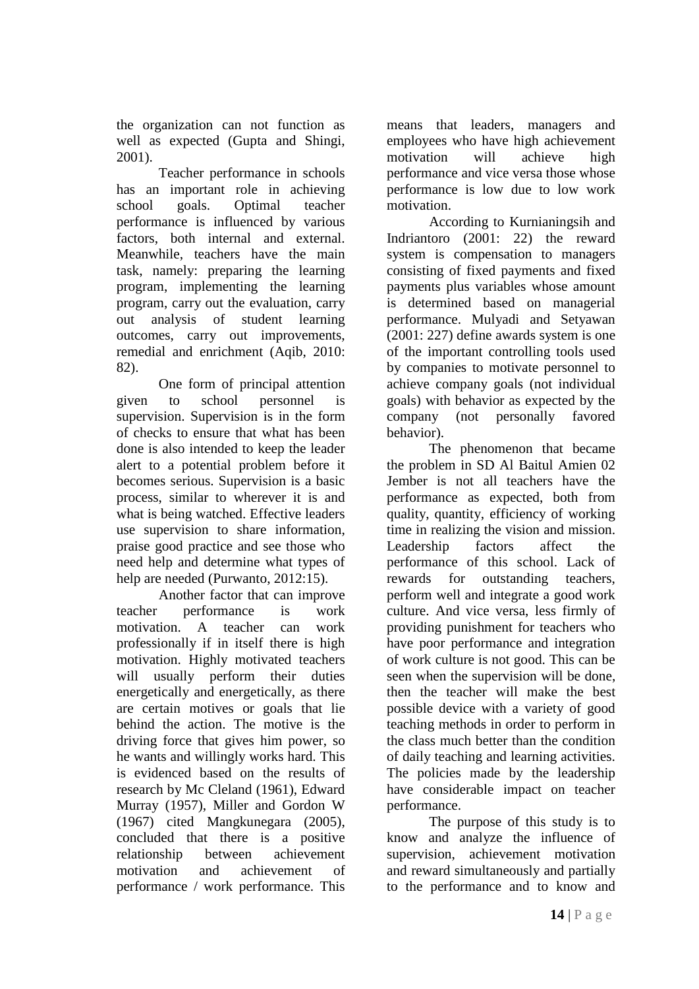the organization can not function as well as expected (Gupta and Shingi, 2001).

Teacher performance in schools has an important role in achieving school goals. Optimal teacher performance is influenced by various factors, both internal and external. Meanwhile, teachers have the main task, namely: preparing the learning program, implementing the learning program, carry out the evaluation, carry out analysis of student learning outcomes, carry out improvements, remedial and enrichment (Aqib, 2010: 82).

One form of principal attention given to school personnel is supervision. Supervision is in the form of checks to ensure that what has been done is also intended to keep the leader alert to a potential problem before it becomes serious. Supervision is a basic process, similar to wherever it is and what is being watched. Effective leaders use supervision to share information, praise good practice and see those who need help and determine what types of help are needed (Purwanto, 2012:15).

Another factor that can improve teacher performance is work motivation. A teacher can work professionally if in itself there is high motivation. Highly motivated teachers will usually perform their duties energetically and energetically, as there are certain motives or goals that lie behind the action. The motive is the driving force that gives him power, so he wants and willingly works hard. This is evidenced based on the results of research by Mc Cleland (1961), Edward Murray (1957), Miller and Gordon W (1967) cited Mangkunegara (2005), concluded that there is a positive relationship between achievement motivation and achievement of performance / work performance. This

means that leaders, managers and employees who have high achievement motivation will achieve high performance and vice versa those whose performance is low due to low work motivation.

According to Kurnianingsih and Indriantoro (2001: 22) the reward system is compensation to managers consisting of fixed payments and fixed payments plus variables whose amount is determined based on managerial performance. Mulyadi and Setyawan (2001: 227) define awards system is one of the important controlling tools used by companies to motivate personnel to achieve company goals (not individual goals) with behavior as expected by the company (not personally favored behavior).

The phenomenon that became the problem in SD Al Baitul Amien 02 Jember is not all teachers have the performance as expected, both from quality, quantity, efficiency of working time in realizing the vision and mission. Leadership factors affect the performance of this school. Lack of rewards for outstanding teachers, perform well and integrate a good work culture. And vice versa, less firmly of providing punishment for teachers who have poor performance and integration of work culture is not good. This can be seen when the supervision will be done, then the teacher will make the best possible device with a variety of good teaching methods in order to perform in the class much better than the condition of daily teaching and learning activities. The policies made by the leadership have considerable impact on teacher performance.

The purpose of this study is to know and analyze the influence of supervision, achievement motivation and reward simultaneously and partially to the performance and to know and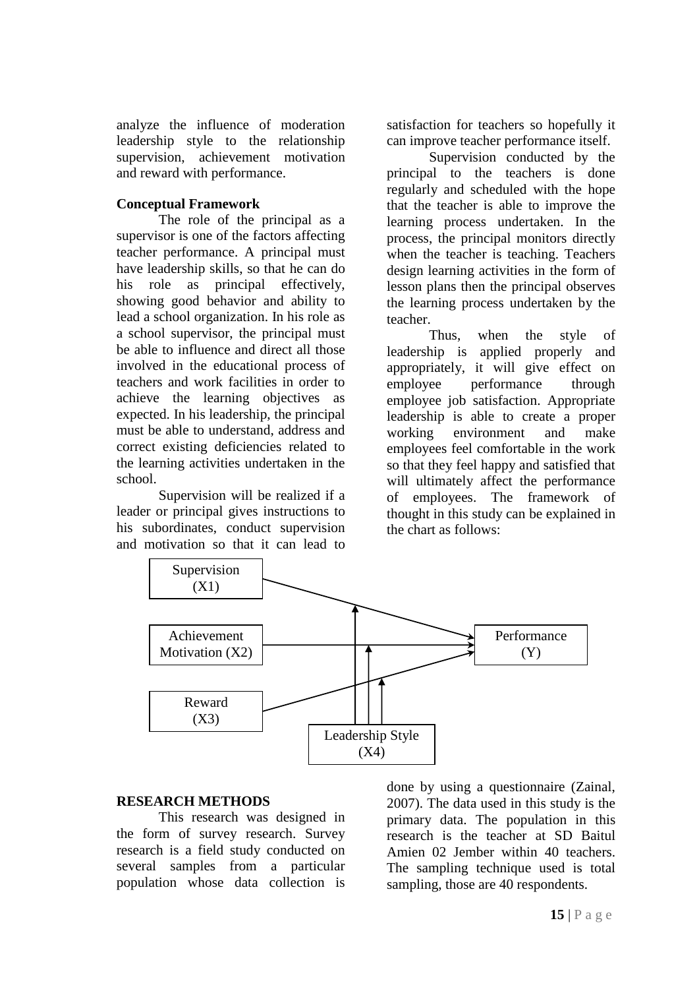analyze the influence of moderation leadership style to the relationship supervision, achievement motivation and reward with performance.

# **Conceptual Framework**

The role of the principal as a supervisor is one of the factors affecting teacher performance. A principal must have leadership skills, so that he can do his role as principal effectively, showing good behavior and ability to lead a school organization. In his role as a school supervisor, the principal must be able to influence and direct all those involved in the educational process of teachers and work facilities in order to achieve the learning objectives as expected. In his leadership, the principal must be able to understand, address and correct existing deficiencies related to the learning activities undertaken in the school.

Supervision will be realized if a leader or principal gives instructions to his subordinates, conduct supervision and motivation so that it can lead to

satisfaction for teachers so hopefully it can improve teacher performance itself.

Supervision conducted by the principal to the teachers is done regularly and scheduled with the hope that the teacher is able to improve the learning process undertaken. In the process, the principal monitors directly when the teacher is teaching. Teachers design learning activities in the form of lesson plans then the principal observes the learning process undertaken by the teacher.

Thus, when the style of leadership is applied properly and appropriately, it will give effect on employee performance through employee job satisfaction. Appropriate leadership is able to create a proper working environment and make employees feel comfortable in the work so that they feel happy and satisfied that will ultimately affect the performance of employees. The framework of thought in this study can be explained in the chart as follows:



# **RESEARCH METHODS**

This research was designed in the form of survey research. Survey research is a field study conducted on several samples from a particular population whose data collection is

done by using a questionnaire (Zainal, 2007). The data used in this study is the primary data. The population in this research is the teacher at SD Baitul Amien 02 Jember within 40 teachers. The sampling technique used is total sampling, those are 40 respondents.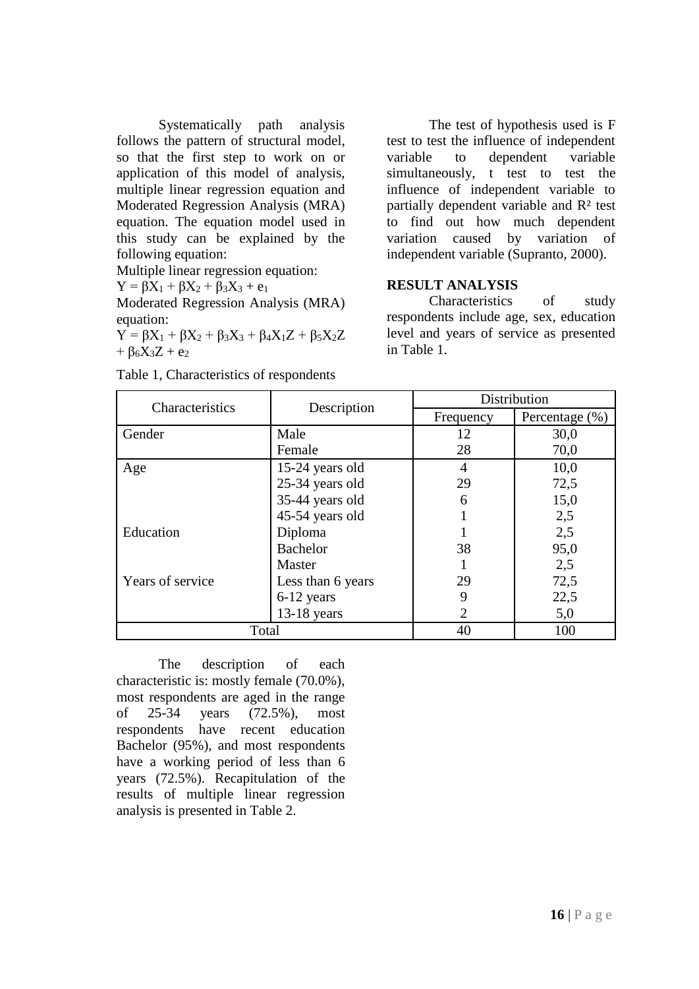Systematically path analysis follows the pattern of structural model, so that the first step to work on or application of this model of analysis, multiple linear regression equation and Moderated Regression Analysis (MRA) equation. The equation model used in this study can be explained by the following equation:

Multiple linear regression equation:

$$
Y=\beta X_1+\beta X_2+\beta_3 X_3+e_1
$$

Moderated Regression Analysis (MRA) equation:

 $Y = \beta X_1 + \beta X_2 + \beta_3 X_3 + \beta_4 X_1 Z + \beta_5 X_2 Z$ +  $\beta_6X_3Z + e_2$ 

The test of hypothesis used is F test to test the influence of independent variable to dependent variable simultaneously, t test to test the influence of independent variable to partially dependent variable and R² test to find out how much dependent variation caused by variation of independent variable (Supranto, 2000).

#### **RESULT ANALYSIS**

Characteristics of study respondents include age, sex, education level and years of service as presented in Table 1.

| Characteristics  | Description       | Distribution          |                |  |
|------------------|-------------------|-----------------------|----------------|--|
|                  |                   | Frequency             | Percentage (%) |  |
| Gender           | Male              | 12                    | 30,0           |  |
|                  | Female            | 28                    | 70,0           |  |
| Age              | 15-24 years old   | 4                     | 10,0           |  |
|                  | 25-34 years old   | 29                    | 72,5           |  |
|                  | 35-44 years old   | 6                     | 15,0           |  |
|                  | 45-54 years old   |                       | 2,5            |  |
| Education        | Diploma           |                       | 2,5            |  |
|                  | <b>Bachelor</b>   | 38                    | 95,0           |  |
|                  | Master            |                       | 2,5            |  |
| Years of service | Less than 6 years | 29                    | 72,5           |  |
|                  | 6-12 years        | 9                     | 22,5           |  |
|                  | $13-18$ years     | $\mathcal{D}_{\cdot}$ | 5,0            |  |
| Total            |                   | 40                    | 100            |  |

Table 1, Characteristics of respondents

The description of each characteristic is: mostly female (70.0%), most respondents are aged in the range of 25-34 years (72.5%), most respondents have recent education Bachelor (95%), and most respondents have a working period of less than 6 years (72.5%). Recapitulation of the results of multiple linear regression analysis is presented in Table 2.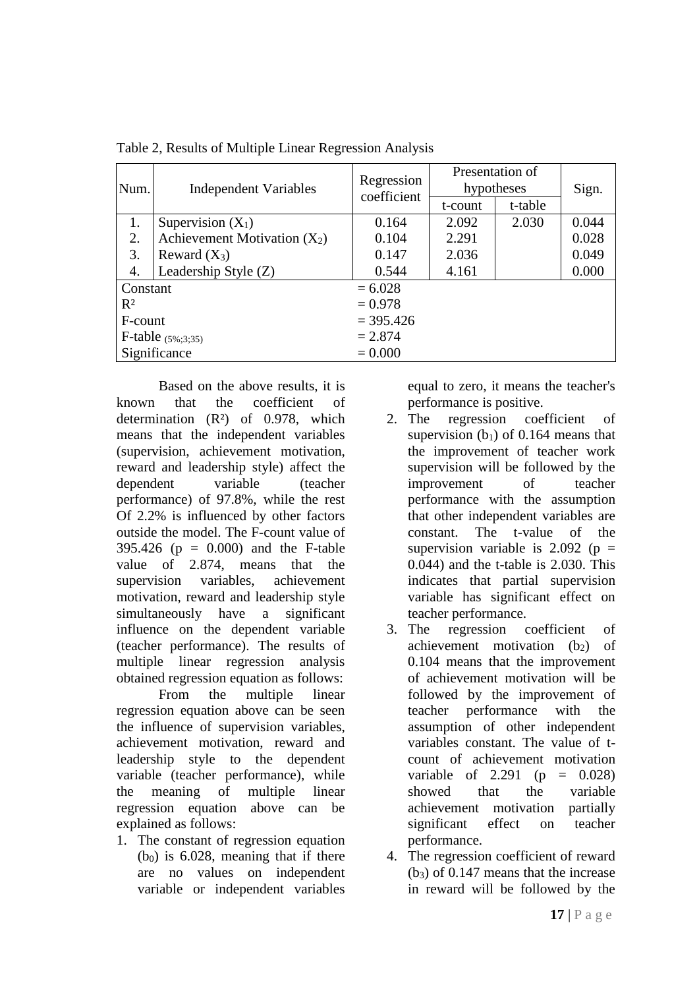| Num.                 | <b>Independent Variables</b>   | Regression<br>coefficient | Presentation of<br>hypotheses |         | Sign. |
|----------------------|--------------------------------|---------------------------|-------------------------------|---------|-------|
|                      |                                |                           | t-count                       | t-table |       |
| 1.                   | Supervision $(X_1)$            | 0.164                     | 2.092                         | 2.030   | 0.044 |
| 2.                   | Achievement Motivation $(X_2)$ | 0.104                     | 2.291                         |         | 0.028 |
| 3.                   | Reward $(X_3)$                 | 0.147                     | 2.036                         |         | 0.049 |
| 4.                   | Leadership Style (Z)           | 0.544                     | 4.161                         |         | 0.000 |
| Constant             |                                | $= 6.028$                 |                               |         |       |
| $R^2$                |                                | $= 0.978$                 |                               |         |       |
| F-count              |                                | $= 395.426$               |                               |         |       |
| F-table $(5\%;3;35)$ |                                | $= 2.874$                 |                               |         |       |
| Significance         |                                | $= 0.000$                 |                               |         |       |

Table 2, Results of Multiple Linear Regression Analysis

Based on the above results, it is known that the coefficient of determination (R²) of 0.978, which means that the independent variables (supervision, achievement motivation, reward and leadership style) affect the dependent variable (teacher performance) of 97.8%, while the rest Of 2.2% is influenced by other factors outside the model. The F-count value of 395.426 (p = 0.000) and the F-table value of 2.874, means that the supervision variables, achievement motivation, reward and leadership style simultaneously have a significant influence on the dependent variable (teacher performance). The results of multiple linear regression analysis obtained regression equation as follows:

From the multiple linear regression equation above can be seen the influence of supervision variables, achievement motivation, reward and leadership style to the dependent variable (teacher performance), while the meaning of multiple linear regression equation above can be explained as follows:

1. The constant of regression equation  $(b<sub>0</sub>)$  is 6.028, meaning that if there are no values on independent variable or independent variables

equal to zero, it means the teacher's performance is positive.

- 2. The regression coefficient of supervision  $(b_1)$  of 0.164 means that the improvement of teacher work supervision will be followed by the improvement of teacher performance with the assumption that other independent variables are constant. The t-value of the supervision variable is  $2.092$  (p = 0.044) and the t-table is 2.030. This indicates that partial supervision variable has significant effect on teacher performance.
- 3. The regression coefficient of achievement motivation  $(b_2)$  of 0.104 means that the improvement of achievement motivation will be followed by the improvement of teacher performance with the assumption of other independent variables constant. The value of tcount of achievement motivation variable of 2.291 ( $p = 0.028$ ) showed that the variable achievement motivation partially significant effect on teacher performance.
- 4. The regression coefficient of reward  $(b_3)$  of 0.147 means that the increase in reward will be followed by the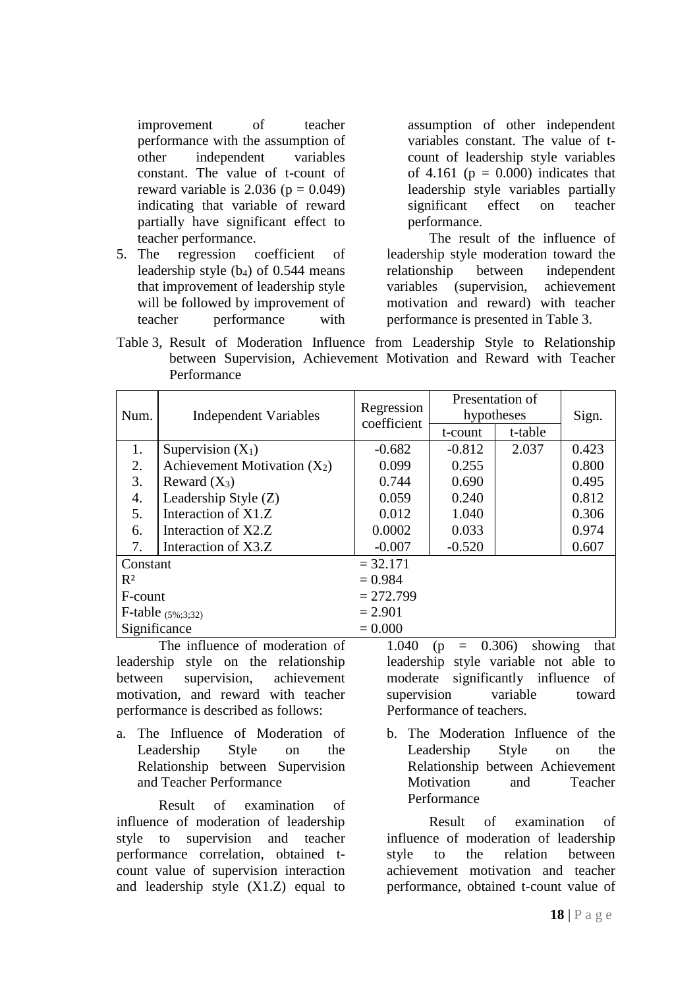improvement of teacher performance with the assumption of other independent variables constant. The value of t-count of reward variable is 2.036 ( $p = 0.049$ ) indicating that variable of reward partially have significant effect to teacher performance.

5. The regression coefficient of leadership style  $(b_4)$  of 0.544 means that improvement of leadership style will be followed by improvement of teacher performance with

assumption of other independent variables constant. The value of tcount of leadership style variables of 4.161 ( $p = 0.000$ ) indicates that leadership style variables partially significant effect on teacher performance.

The result of the influence of leadership style moderation toward the relationship between independent variables (supervision, achievement motivation and reward) with teacher performance is presented in Table 3.

Table 3, Result of Moderation Influence from Leadership Style to Relationship between Supervision, Achievement Motivation and Reward with Teacher Performance

| Num.                   | <b>Independent Variables</b>   | Regression<br>coefficient | Presentation of<br>hypotheses |         | Sign. |
|------------------------|--------------------------------|---------------------------|-------------------------------|---------|-------|
|                        |                                |                           | t-count                       | t-table |       |
| 1.                     | Supervision $(X_1)$            | $-0.682$                  | $-0.812$                      | 2.037   | 0.423 |
| 2.                     | Achievement Motivation $(X_2)$ | 0.099                     | 0.255                         |         | 0.800 |
| 3.                     | Reward $(X_3)$                 | 0.744                     | 0.690                         |         | 0.495 |
| $\overline{4}$ .       | Leadership Style (Z)           | 0.059                     | 0.240                         |         | 0.812 |
| 5.                     | Interaction of X1.Z            | 0.012                     | 1.040                         |         | 0.306 |
| 6.                     | Interaction of X2.Z            | 0.0002                    | 0.033                         |         | 0.974 |
| 7.                     | Interaction of X3.Z            | $-0.007$                  | $-0.520$                      |         | 0.607 |
| Constant               |                                | $= 32.171$                |                               |         |       |
| $R^2$                  |                                | $= 0.984$                 |                               |         |       |
| F-count                |                                | $= 272.799$               |                               |         |       |
| F-table $(5\%, 3; 32)$ |                                | $= 2.901$                 |                               |         |       |
| Significance           |                                | $= 0.000$                 |                               |         |       |

The influence of moderation of leadership style on the relationship between supervision, achievement motivation, and reward with teacher performance is described as follows:

a. The Influence of Moderation of Leadership Style on the Relationship between Supervision and Teacher Performance

Result of examination of influence of moderation of leadership style to supervision and teacher performance correlation, obtained tcount value of supervision interaction and leadership style (X1.Z) equal to

1.040 (p = 0.306) showing that leadership style variable not able to moderate significantly influence of supervision variable toward Performance of teachers.

b. The Moderation Influence of the Leadership Style on the Relationship between Achievement Motivation and Teacher Performance

Result of examination of influence of moderation of leadership style to the relation between achievement motivation and teacher performance, obtained t-count value of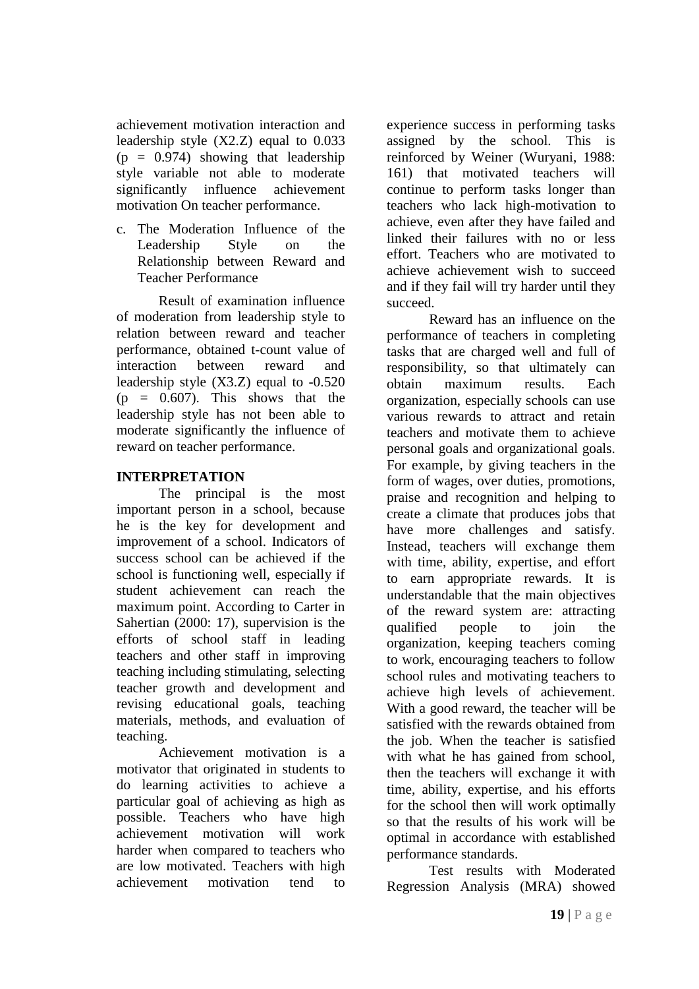achievement motivation interaction and leadership style (X2.Z) equal to 0.033  $(p = 0.974)$  showing that leadership style variable not able to moderate significantly influence achievement motivation On teacher performance.

c. The Moderation Influence of the Leadership Style on the Relationship between Reward and Teacher Performance

Result of examination influence of moderation from leadership style to relation between reward and teacher performance, obtained t-count value of interaction between reward and leadership style  $(X3.Z)$  equal to  $-0.520$  $(p = 0.607)$ . This shows that the leadership style has not been able to moderate significantly the influence of reward on teacher performance.

# **INTERPRETATION**

The principal is the most important person in a school, because he is the key for development and improvement of a school. Indicators of success school can be achieved if the school is functioning well, especially if student achievement can reach the maximum point. According to Carter in Sahertian (2000: 17), supervision is the efforts of school staff in leading teachers and other staff in improving teaching including stimulating, selecting teacher growth and development and revising educational goals, teaching materials, methods, and evaluation of teaching.

Achievement motivation is a motivator that originated in students to do learning activities to achieve a particular goal of achieving as high as possible. Teachers who have high achievement motivation will work harder when compared to teachers who are low motivated. Teachers with high achievement motivation tend to

experience success in performing tasks assigned by the school. This is reinforced by Weiner (Wuryani, 1988: 161) that motivated teachers will continue to perform tasks longer than teachers who lack high-motivation to achieve, even after they have failed and linked their failures with no or less effort. Teachers who are motivated to achieve achievement wish to succeed and if they fail will try harder until they succeed.

Reward has an influence on the performance of teachers in completing tasks that are charged well and full of responsibility, so that ultimately can obtain maximum results. Each organization, especially schools can use various rewards to attract and retain teachers and motivate them to achieve personal goals and organizational goals. For example, by giving teachers in the form of wages, over duties, promotions, praise and recognition and helping to create a climate that produces jobs that have more challenges and satisfy. Instead, teachers will exchange them with time, ability, expertise, and effort to earn appropriate rewards. It is understandable that the main objectives of the reward system are: attracting qualified people to join the organization, keeping teachers coming to work, encouraging teachers to follow school rules and motivating teachers to achieve high levels of achievement. With a good reward, the teacher will be satisfied with the rewards obtained from the job. When the teacher is satisfied with what he has gained from school, then the teachers will exchange it with time, ability, expertise, and his efforts for the school then will work optimally so that the results of his work will be optimal in accordance with established performance standards.

Test results with Moderated Regression Analysis (MRA) showed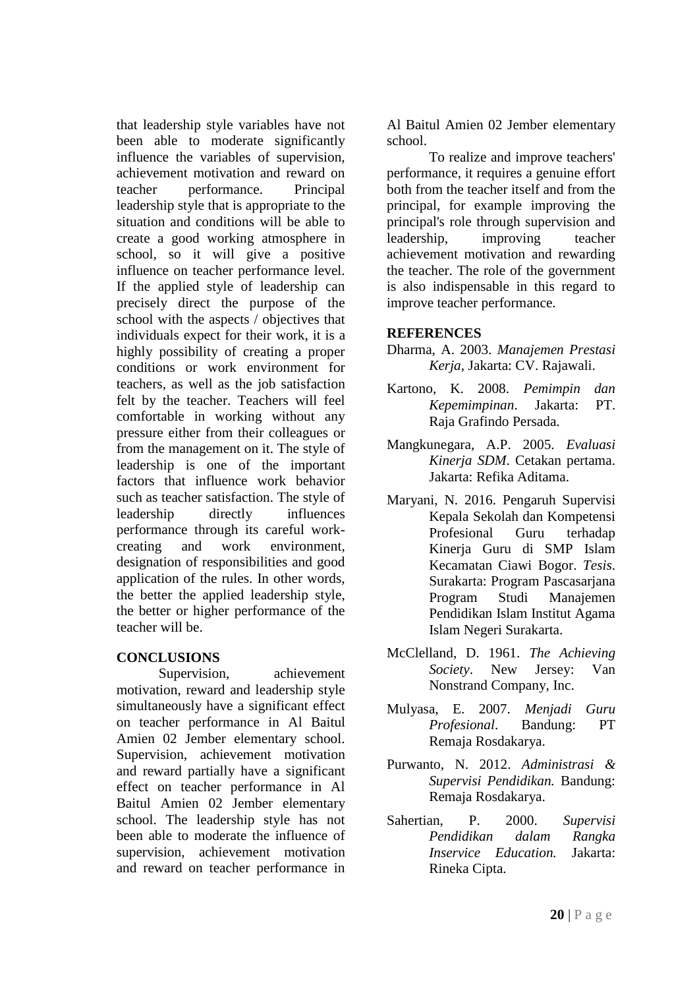that leadership style variables have not been able to moderate significantly influence the variables of supervision, achievement motivation and reward on teacher performance. Principal leadership style that is appropriate to the situation and conditions will be able to create a good working atmosphere in school, so it will give a positive influence on teacher performance level. If the applied style of leadership can precisely direct the purpose of the school with the aspects / objectives that individuals expect for their work, it is a highly possibility of creating a proper conditions or work environment for teachers, as well as the job satisfaction felt by the teacher. Teachers will feel comfortable in working without any pressure either from their colleagues or from the management on it. The style of leadership is one of the important factors that influence work behavior such as teacher satisfaction. The style of leadership directly influences performance through its careful workcreating and work environment, designation of responsibilities and good application of the rules. In other words, the better the applied leadership style, the better or higher performance of the teacher will be.

### **CONCLUSIONS**

Supervision, achievement motivation, reward and leadership style simultaneously have a significant effect on teacher performance in Al Baitul Amien 02 Jember elementary school. Supervision, achievement motivation and reward partially have a significant effect on teacher performance in Al Baitul Amien 02 Jember elementary school. The leadership style has not been able to moderate the influence of supervision, achievement motivation and reward on teacher performance in

Al Baitul Amien 02 Jember elementary school.

To realize and improve teachers' performance, it requires a genuine effort both from the teacher itself and from the principal, for example improving the principal's role through supervision and leadership, improving teacher achievement motivation and rewarding the teacher. The role of the government is also indispensable in this regard to improve teacher performance.

# **REFERENCES**

- Dharma, A. 2003. *Manajemen Prestasi Kerja*, Jakarta: CV. Rajawali.
- Kartono, K. 2008. *Pemimpin dan Kepemimpinan*. Jakarta: PT. Raja Grafindo Persada.
- Mangkunegara, A.P. 2005. *Evaluasi Kinerja SDM*. Cetakan pertama. Jakarta: Refika Aditama.
- Maryani, N. 2016. Pengaruh Supervisi Kepala Sekolah dan Kompetensi Profesional Guru terhadap Kinerja Guru di SMP Islam Kecamatan Ciawi Bogor. *Tesis*. Surakarta: Program Pascasarjana Program Studi Manajemen Pendidikan Islam Institut Agama Islam Negeri Surakarta.
- McClelland, D. 1961. *The Achieving Society*. New Jersey: Van Nonstrand Company, Inc.
- Mulyasa, E. 2007. *Menjadi Guru Profesional*. Bandung: PT Remaja Rosdakarya.
- Purwanto, N. 2012. *Administrasi & Supervisi Pendidikan.* Bandung: Remaja Rosdakarya.
- Sahertian, P. 2000. *Supervisi Pendidikan dalam Rangka Inservice Education.* Jakarta: Rineka Cipta.